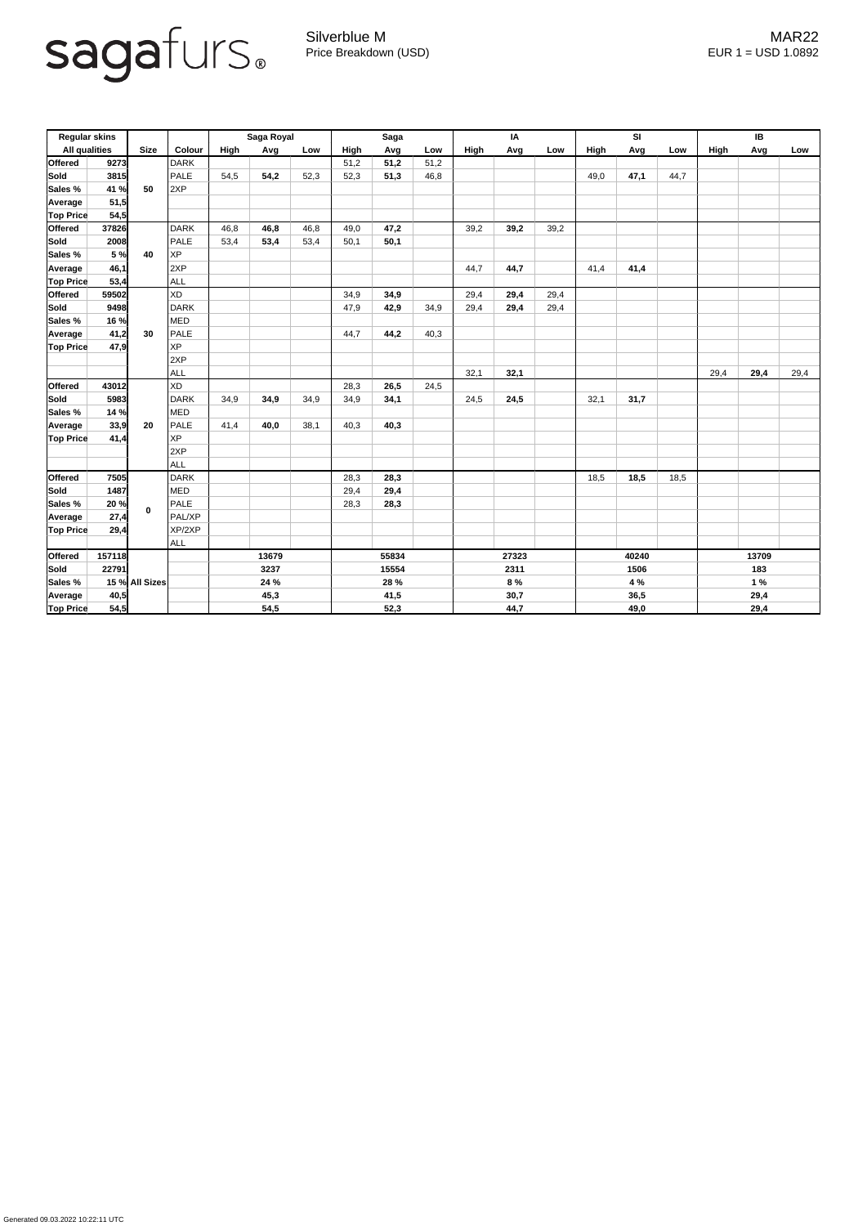

Generated 09.03.2022 10:22:11 UTC

Silverblue M MAR22 Price Breakdown (USD) error and the USD 1.0892

| <b>Regular skins</b> |        |                |            | Saga Royal |      |      | <b>Saga</b> |      |      | IA          |      |      | <b>SI</b> |      |      | <b>IB</b>   |      |      |
|----------------------|--------|----------------|------------|------------|------|------|-------------|------|------|-------------|------|------|-----------|------|------|-------------|------|------|
| <b>All qualities</b> |        | <b>Size</b>    | Colour     | High       | Avg  | Low  | <b>High</b> | Avg  | Low  | <b>High</b> | Avg  | Low  | High      | Avg  | Low  | <b>High</b> | Avg  | Low  |
| <b>Offered</b>       | 9273   |                | DARK       |            |      |      | 51,2        | 51,2 | 51,2 |             |      |      |           |      |      |             |      |      |
| Sold                 | 3815   |                | PALE       | 54,5       | 54,2 | 52,3 | 52,3        | 51,3 | 46,8 |             |      |      | 49,0      | 47,1 | 44,7 |             |      |      |
| <b>Sales %</b>       | 41 %   | 50             | 2XP        |            |      |      |             |      |      |             |      |      |           |      |      |             |      |      |
| Average              | 51,5   |                |            |            |      |      |             |      |      |             |      |      |           |      |      |             |      |      |
| <b>Top Price</b>     | 54,5   |                |            |            |      |      |             |      |      |             |      |      |           |      |      |             |      |      |
| <b>Offered</b>       | 37826  |                | DARK       | 46,8       | 46,8 | 46,8 | 49,0        | 47,2 |      | 39,2        | 39,2 | 39,2 |           |      |      |             |      |      |
| <b>Sold</b>          | 2008   | 40             | PALE       | 53,4       | 53,4 | 53,4 | 50,1        | 50,1 |      |             |      |      |           |      |      |             |      |      |
| <b>Sales %</b>       | 5 %    |                | <b>XP</b>  |            |      |      |             |      |      |             |      |      |           |      |      |             |      |      |
| Average              | 46,1   |                | 2XP        |            |      |      |             |      |      | 44,7        | 44,7 |      | 41,4      | 41,4 |      |             |      |      |
| <b>Top Price</b>     | 53,4   |                | <b>ALL</b> |            |      |      |             |      |      |             |      |      |           |      |      |             |      |      |
| <b>Offered</b>       | 59502  |                | XD         |            |      |      | 34,9        | 34,9 |      | 29,4        | 29,4 | 29,4 |           |      |      |             |      |      |
| <b>Sold</b>          | 9498   |                | DARK       |            |      |      | 47,9        | 42,9 | 34,9 | 29,4        | 29,4 | 29,4 |           |      |      |             |      |      |
| <b>Sales %</b>       | 16 %   |                | MED        |            |      |      |             |      |      |             |      |      |           |      |      |             |      |      |
| Average              | 41,2   | 30             | PALE       |            |      |      | 44,7        | 44,2 | 40,3 |             |      |      |           |      |      |             |      |      |
| <b>Top Price</b>     | 47,9   |                | XP         |            |      |      |             |      |      |             |      |      |           |      |      |             |      |      |
|                      |        |                | 2XP        |            |      |      |             |      |      |             |      |      |           |      |      |             |      |      |
|                      |        |                | <b>ALL</b> |            |      |      |             |      |      | 32,1        | 32,1 |      |           |      |      | 29,4        | 29,4 | 29,4 |
| <b>Offered</b>       | 43012  |                | XD         |            |      |      | 28,3        | 26,5 | 24,5 |             |      |      |           |      |      |             |      |      |
| Sold                 | 5983   |                | DARK       | 34,9       | 34,9 | 34,9 | 34,9        | 34,1 |      | 24,5        | 24,5 |      | 32,1      | 31,7 |      |             |      |      |
| Sales %              | 14 %   | 20             | <b>MED</b> |            |      |      |             |      |      |             |      |      |           |      |      |             |      |      |
| Average              | 33,9   |                | PALE       | 41,4       | 40,0 | 38,1 | 40,3        | 40,3 |      |             |      |      |           |      |      |             |      |      |
| <b>Top Price</b>     | 41,4   |                | <b>XP</b>  |            |      |      |             |      |      |             |      |      |           |      |      |             |      |      |
|                      |        |                | 2XP        |            |      |      |             |      |      |             |      |      |           |      |      |             |      |      |
|                      |        |                | ALL        |            |      |      |             |      |      |             |      |      |           |      |      |             |      |      |
| <b>Offered</b>       | 7505   |                | DARK       |            |      |      | 28,3        | 28,3 |      |             |      |      | 18,5      | 18,5 | 18,5 |             |      |      |
| Sold                 | 1487   |                | <b>MED</b> |            |      |      | 29,4        | 29,4 |      |             |      |      |           |      |      |             |      |      |
| Sales %              | 20 %   | $\mathbf 0$    | PALE       |            |      |      | 28,3        | 28,3 |      |             |      |      |           |      |      |             |      |      |
| <b>Average</b>       | 27,4   |                | PAL/XP     |            |      |      |             |      |      |             |      |      |           |      |      |             |      |      |
| <b>Top Price</b>     | 29,4   |                | XP/2XP     |            |      |      |             |      |      |             |      |      |           |      |      |             |      |      |
|                      |        |                | <b>ALL</b> |            |      |      |             |      |      |             |      |      |           |      |      |             |      |      |
| <b>Offered</b>       | 157118 |                |            | 13679      |      |      | 55834       |      |      | 27323       |      |      | 40240     |      |      | 13709       |      |      |
| Sold                 | 22791  |                |            | 3237       |      |      | 15554       |      |      | 2311        |      |      | 1506      |      |      | 183         |      |      |
| Sales %              |        | 15 % All Sizes |            | 24 %       |      |      | 28 %        |      |      | 8 %         |      |      | 4 %       |      |      | 1%          |      |      |
| <b>Average</b>       | 40,5   |                |            | 45,3       |      |      | 41,5        |      |      | 30,7        |      |      | 36,5      |      |      | 29,4        |      |      |
| <b>Top Price</b>     | 54,5   |                |            | 54,5       |      |      | 52,3        |      |      | 44,7        |      |      | 49,0      |      |      | 29,4        |      |      |